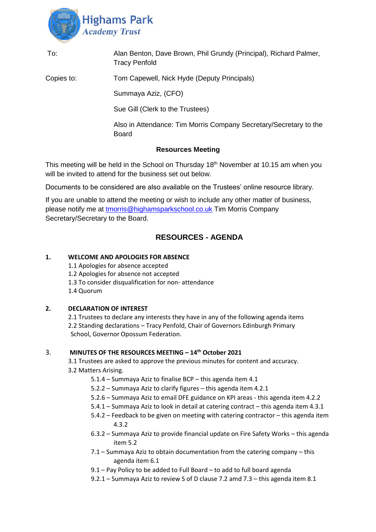

| To:                      | Alan Benton, Dave Brown, Phil Grundy (Principal), Richard Palmer,<br><b>Tracy Penfold</b> |
|--------------------------|-------------------------------------------------------------------------------------------|
| Copies to:               | Tom Capewell, Nick Hyde (Deputy Principals)                                               |
|                          | Summaya Aziz, (CFO)                                                                       |
|                          | Sue Gill (Clerk to the Trustees)                                                          |
|                          | Also in Attendance: Tim Morris Company Secretary/Secretary to the<br><b>Board</b>         |
| <b>Resources Meeting</b> |                                                                                           |

This meeting will be held in the School on Thursday 18<sup>th</sup> November at 10.15 am when you will be invited to attend for the business set out below.

Documents to be considered are also available on the Trustees' online resource library.

If you are unable to attend the meeting or wish to include any other matter of business, please notify me at [tmorris@highamsparkschool.co.uk](mailto:tmorris@highamsparkschool.co.uk) Tim Morris Company Secretary/Secretary to the Board.

# **RESOURCES - AGENDA**

# **1. WELCOME AND APOLOGIES FOR ABSENCE**

1.1 Apologies for absence accepted 1.2 Apologies for absence not accepted 1.3 To consider disqualification for non- attendance 1.4 Quorum

# **2. DECLARATION OF INTEREST**

2.1 Trustees to declare any interests they have in any of the following agenda items 2.2 Standing declarations – Tracy Penfold, Chair of Governors Edinburgh Primary School, Governor Opossum Federation.

### 3. **MINUTES OF THE RESOURCES MEETING – 14th October 2021**

3.1 Trustees are asked to approve the previous minutes for content and accuracy. 3.2 Matters Arising.

- 5.1.4 Summaya Aziz to finalise BCP this agenda item 4.1
- 5.2.2 Summaya Aziz to clarify figures this agenda item 4.2.1
- 5.2.6 Summaya Aziz to email DFE guidance on KPI areas this agenda item 4.2.2
- 5.4.1 Summaya Aziz to look in detail at catering contract this agenda item 4.3.1
- 5.4.2 Feedback to be given on meeting with catering contractor this agenda item 4.3.2
- 6.3.2 Summaya Aziz to provide financial update on Fire Safety Works this agenda item 5.2
- 7.1 Summaya Aziz to obtain documentation from the catering company this agenda item 6.1
- 9.1 Pay Policy to be added to Full Board to add to full board agenda
- 9.2.1 Summaya Aziz to review S of D clause 7.2 amd 7.3 this agenda item 8.1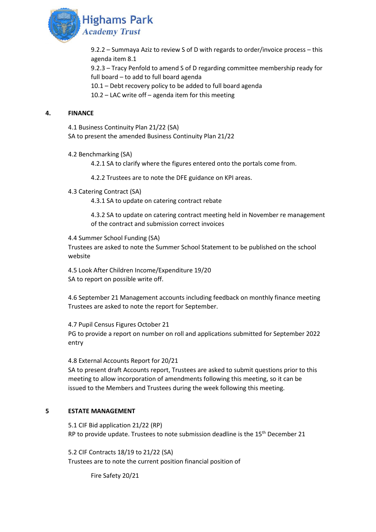

9.2.2 – Summaya Aziz to review S of D with regards to order/invoice process – this agenda item 8.1

9.2.3 – Tracy Penfold to amend S of D regarding committee membership ready for full board – to add to full board agenda

10.1 – Debt recovery policy to be added to full board agenda

10.2 – LAC write off – agenda item for this meeting

### **4. FINANCE**

4.1 Business Continuity Plan 21/22 (SA) SA to present the amended Business Continuity Plan 21/22

4.2 Benchmarking (SA)

4.2.1 SA to clarify where the figures entered onto the portals come from.

4.2.2 Trustees are to note the DFE guidance on KPI areas.

4.3 Catering Contract (SA)

4.3.1 SA to update on catering contract rebate

4.3.2 SA to update on catering contract meeting held in November re management of the contract and submission correct invoices

4.4 Summer School Funding (SA)

Trustees are asked to note the Summer School Statement to be published on the school website

4.5 Look After Children Income/Expenditure 19/20 SA to report on possible write off.

4.6 September 21 Management accounts including feedback on monthly finance meeting Trustees are asked to note the report for September.

4.7 Pupil Census Figures October 21 PG to provide a report on number on roll and applications submitted for September 2022 entry

4.8 External Accounts Report for 20/21

SA to present draft Accounts report, Trustees are asked to submit questions prior to this meeting to allow incorporation of amendments following this meeting, so it can be issued to the Members and Trustees during the week following this meeting.

# **5 ESTATE MANAGEMENT**

5.1 CIF Bid application 21/22 (RP) RP to provide update. Trustees to note submission deadline is the 15<sup>th</sup> December 21

5.2 CIF Contracts 18/19 to 21/22 (SA) Trustees are to note the current position financial position of

Fire Safety 20/21